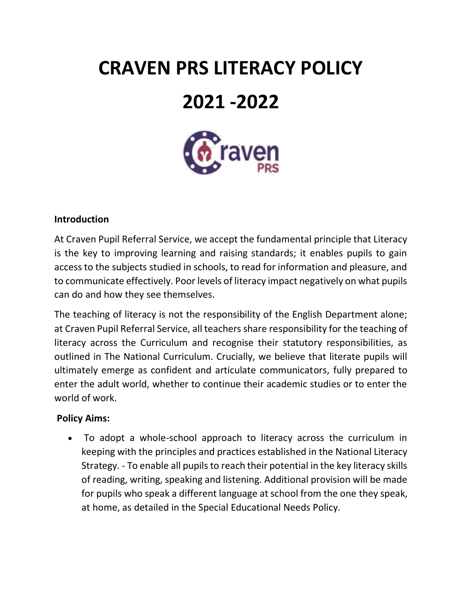# **CRAVEN PRS LITERACY POLICY 2021 -2022**



## **Introduction**

At Craven Pupil Referral Service, we accept the fundamental principle that Literacy is the key to improving learning and raising standards; it enables pupils to gain access to the subjects studied in schools, to read for information and pleasure, and to communicate effectively. Poor levels of literacy impact negatively on what pupils can do and how they see themselves.

The teaching of literacy is not the responsibility of the English Department alone; at Craven Pupil Referral Service, all teachers share responsibility for the teaching of literacy across the Curriculum and recognise their statutory responsibilities, as outlined in The National Curriculum. Crucially, we believe that literate pupils will ultimately emerge as confident and articulate communicators, fully prepared to enter the adult world, whether to continue their academic studies or to enter the world of work.

## **Policy Aims:**

• To adopt a whole-school approach to literacy across the curriculum in keeping with the principles and practices established in the National Literacy Strategy. - To enable all pupils to reach their potential in the key literacy skills of reading, writing, speaking and listening. Additional provision will be made for pupils who speak a different language at school from the one they speak, at home, as detailed in the Special Educational Needs Policy.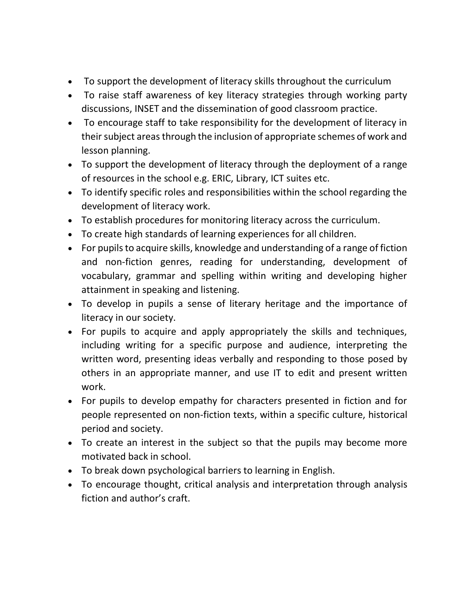- To support the development of literacy skills throughout the curriculum
- To raise staff awareness of key literacy strategies through working party discussions, INSET and the dissemination of good classroom practice.
- To encourage staff to take responsibility for the development of literacy in their subject areas through the inclusion of appropriate schemes of work and lesson planning.
- To support the development of literacy through the deployment of a range of resources in the school e.g. ERIC, Library, ICT suites etc.
- To identify specific roles and responsibilities within the school regarding the development of literacy work.
- To establish procedures for monitoring literacy across the curriculum.
- To create high standards of learning experiences for all children.
- For pupils to acquire skills, knowledge and understanding of a range of fiction and non-fiction genres, reading for understanding, development of vocabulary, grammar and spelling within writing and developing higher attainment in speaking and listening.
- To develop in pupils a sense of literary heritage and the importance of literacy in our society.
- For pupils to acquire and apply appropriately the skills and techniques, including writing for a specific purpose and audience, interpreting the written word, presenting ideas verbally and responding to those posed by others in an appropriate manner, and use IT to edit and present written work.
- For pupils to develop empathy for characters presented in fiction and for people represented on non-fiction texts, within a specific culture, historical period and society.
- To create an interest in the subject so that the pupils may become more motivated back in school.
- To break down psychological barriers to learning in English.
- To encourage thought, critical analysis and interpretation through analysis fiction and author's craft.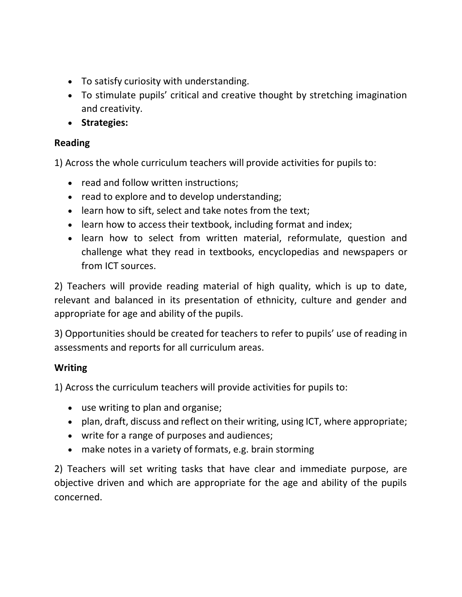- To satisfy curiosity with understanding.
- To stimulate pupils' critical and creative thought by stretching imagination and creativity.
- **Strategies:**

# **Reading**

1) Across the whole curriculum teachers will provide activities for pupils to:

- read and follow written instructions;
- read to explore and to develop understanding;
- learn how to sift, select and take notes from the text;
- learn how to access their textbook, including format and index;
- learn how to select from written material, reformulate, question and challenge what they read in textbooks, encyclopedias and newspapers or from ICT sources.

2) Teachers will provide reading material of high quality, which is up to date, relevant and balanced in its presentation of ethnicity, culture and gender and appropriate for age and ability of the pupils.

3) Opportunities should be created for teachers to refer to pupils' use of reading in assessments and reports for all curriculum areas.

# **Writing**

1) Across the curriculum teachers will provide activities for pupils to:

- use writing to plan and organise;
- plan, draft, discuss and reflect on their writing, using ICT, where appropriate;
- write for a range of purposes and audiences;
- make notes in a variety of formats, e.g. brain storming

2) Teachers will set writing tasks that have clear and immediate purpose, are objective driven and which are appropriate for the age and ability of the pupils concerned.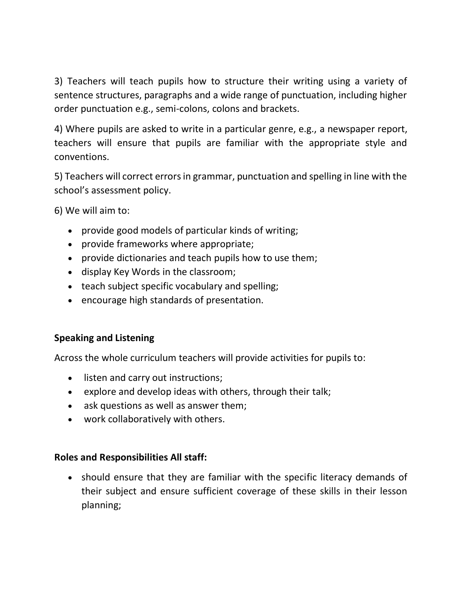3) Teachers will teach pupils how to structure their writing using a variety of sentence structures, paragraphs and a wide range of punctuation, including higher order punctuation e.g., semi-colons, colons and brackets.

4) Where pupils are asked to write in a particular genre, e.g., a newspaper report, teachers will ensure that pupils are familiar with the appropriate style and conventions.

5) Teachers will correct errors in grammar, punctuation and spelling in line with the school's assessment policy.

6) We will aim to:

- provide good models of particular kinds of writing;
- provide frameworks where appropriate;
- provide dictionaries and teach pupils how to use them;
- display Key Words in the classroom;
- teach subject specific vocabulary and spelling;
- encourage high standards of presentation.

## **Speaking and Listening**

Across the whole curriculum teachers will provide activities for pupils to:

- listen and carry out instructions;
- explore and develop ideas with others, through their talk;
- ask questions as well as answer them;
- work collaboratively with others.

## **Roles and Responsibilities All staff:**

• should ensure that they are familiar with the specific literacy demands of their subject and ensure sufficient coverage of these skills in their lesson planning;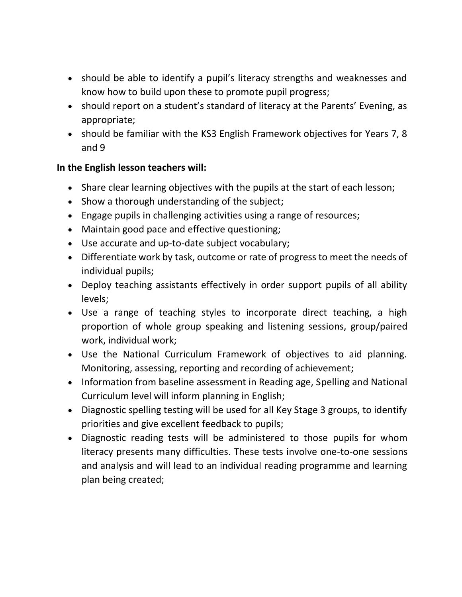- should be able to identify a pupil's literacy strengths and weaknesses and know how to build upon these to promote pupil progress;
- should report on a student's standard of literacy at the Parents' Evening, as appropriate;
- should be familiar with the KS3 English Framework objectives for Years 7, 8 and 9

## **In the English lesson teachers will:**

- Share clear learning objectives with the pupils at the start of each lesson;
- Show a thorough understanding of the subject;
- Engage pupils in challenging activities using a range of resources;
- Maintain good pace and effective questioning;
- Use accurate and up-to-date subject vocabulary;
- Differentiate work by task, outcome or rate of progress to meet the needs of individual pupils;
- Deploy teaching assistants effectively in order support pupils of all ability levels;
- Use a range of teaching styles to incorporate direct teaching, a high proportion of whole group speaking and listening sessions, group/paired work, individual work;
- Use the National Curriculum Framework of objectives to aid planning. Monitoring, assessing, reporting and recording of achievement;
- Information from baseline assessment in Reading age, Spelling and National Curriculum level will inform planning in English;
- Diagnostic spelling testing will be used for all Key Stage 3 groups, to identify priorities and give excellent feedback to pupils;
- Diagnostic reading tests will be administered to those pupils for whom literacy presents many difficulties. These tests involve one-to-one sessions and analysis and will lead to an individual reading programme and learning plan being created;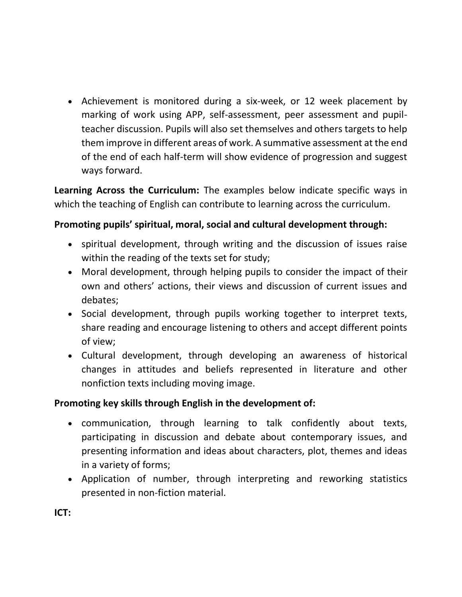• Achievement is monitored during a six-week, or 12 week placement by marking of work using APP, self-assessment, peer assessment and pupilteacher discussion. Pupils will also set themselves and others targets to help them improve in different areas of work. A summative assessment at the end of the end of each half-term will show evidence of progression and suggest ways forward.

**Learning Across the Curriculum:** The examples below indicate specific ways in which the teaching of English can contribute to learning across the curriculum.

## **Promoting pupils' spiritual, moral, social and cultural development through:**

- spiritual development, through writing and the discussion of issues raise within the reading of the texts set for study;
- Moral development, through helping pupils to consider the impact of their own and others' actions, their views and discussion of current issues and debates;
- Social development, through pupils working together to interpret texts, share reading and encourage listening to others and accept different points of view;
- Cultural development, through developing an awareness of historical changes in attitudes and beliefs represented in literature and other nonfiction texts including moving image.

## **Promoting key skills through English in the development of:**

- communication, through learning to talk confidently about texts, participating in discussion and debate about contemporary issues, and presenting information and ideas about characters, plot, themes and ideas in a variety of forms;
- Application of number, through interpreting and reworking statistics presented in non-fiction material.

**ICT:**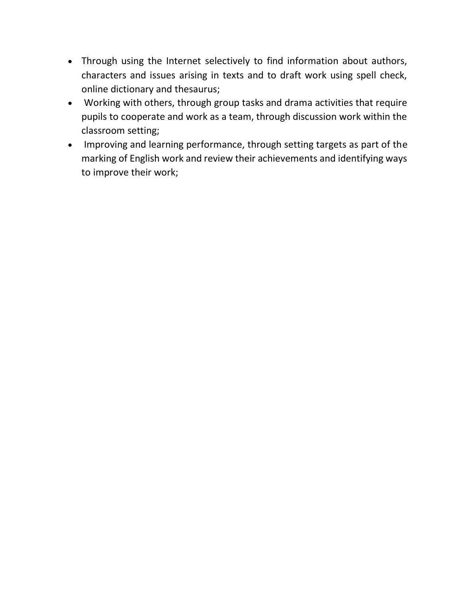- Through using the Internet selectively to find information about authors, characters and issues arising in texts and to draft work using spell check, online dictionary and thesaurus;
- Working with others, through group tasks and drama activities that require pupils to cooperate and work as a team, through discussion work within the classroom setting;
- Improving and learning performance, through setting targets as part of the marking of English work and review their achievements and identifying ways to improve their work;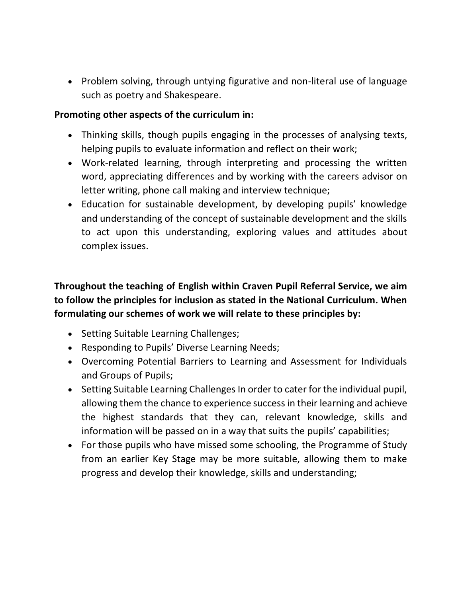• Problem solving, through untying figurative and non-literal use of language such as poetry and Shakespeare.

## **Promoting other aspects of the curriculum in:**

- Thinking skills, though pupils engaging in the processes of analysing texts, helping pupils to evaluate information and reflect on their work;
- Work-related learning, through interpreting and processing the written word, appreciating differences and by working with the careers advisor on letter writing, phone call making and interview technique;
- Education for sustainable development, by developing pupils' knowledge and understanding of the concept of sustainable development and the skills to act upon this understanding, exploring values and attitudes about complex issues.

**Throughout the teaching of English within Craven Pupil Referral Service, we aim to follow the principles for inclusion as stated in the National Curriculum. When formulating our schemes of work we will relate to these principles by:** 

- Setting Suitable Learning Challenges;
- Responding to Pupils' Diverse Learning Needs;
- Overcoming Potential Barriers to Learning and Assessment for Individuals and Groups of Pupils;
- Setting Suitable Learning Challenges In order to cater for the individual pupil, allowing them the chance to experience success in their learning and achieve the highest standards that they can, relevant knowledge, skills and information will be passed on in a way that suits the pupils' capabilities;
- For those pupils who have missed some schooling, the Programme of Study from an earlier Key Stage may be more suitable, allowing them to make progress and develop their knowledge, skills and understanding;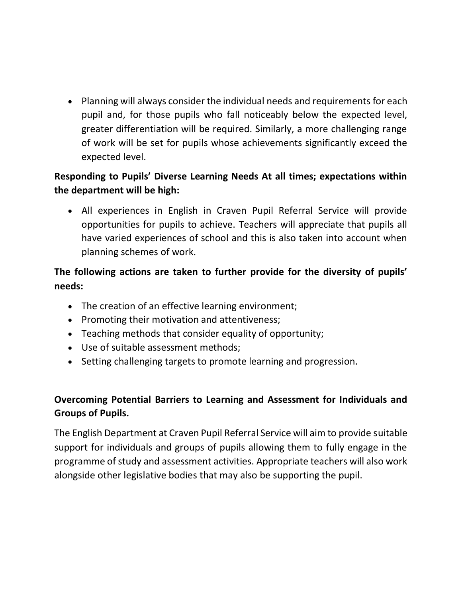• Planning will always consider the individual needs and requirements for each pupil and, for those pupils who fall noticeably below the expected level, greater differentiation will be required. Similarly, a more challenging range of work will be set for pupils whose achievements significantly exceed the expected level.

# **Responding to Pupils' Diverse Learning Needs At all times; expectations within the department will be high:**

• All experiences in English in Craven Pupil Referral Service will provide opportunities for pupils to achieve. Teachers will appreciate that pupils all have varied experiences of school and this is also taken into account when planning schemes of work.

# **The following actions are taken to further provide for the diversity of pupils' needs:**

- The creation of an effective learning environment;
- Promoting their motivation and attentiveness;
- Teaching methods that consider equality of opportunity;
- Use of suitable assessment methods;
- Setting challenging targets to promote learning and progression.

# **Overcoming Potential Barriers to Learning and Assessment for Individuals and Groups of Pupils.**

The English Department at Craven Pupil Referral Service will aim to provide suitable support for individuals and groups of pupils allowing them to fully engage in the programme of study and assessment activities. Appropriate teachers will also work alongside other legislative bodies that may also be supporting the pupil.